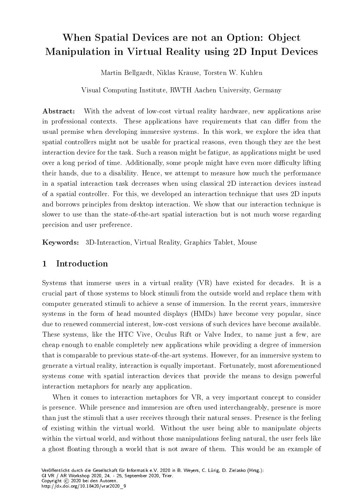# When Spatial Devices are not an Option: Object Manipulation in Virtual Reality using 2D Input Devices

Martin Bellgardt, Niklas Krause, Torsten W. Kuhlen

Visual Computing Institute, RWTH Aachen University, Germany

Abstract: With the advent of low-cost virtual reality hardware, new applications arise in professional contexts. These applications have requirements that can differ from the usual premise when developing immersive systems. In this work, we explore the idea that spatial controllers might not be usable for practical reasons, even though they are the best interaction device for the task. Such a reason might be fatigue, as applications might be used over a long period of time. Additionally, some people might have even more difficulty lifting their hands, due to a disability. Hence, we attempt to measure how much the performance in a spatial interaction task decreases when using classical 2D interaction devices instead of a spatial controller. For this, we developed an interaction technique that uses 2D inputs and borrows principles from desktop interaction. We show that our interaction technique is slower to use than the state-of-the-art spatial interaction but is not much worse regarding precision and user preference.

Keywords: 3D-Interaction, Virtual Reality, Graphics Tablet, Mouse

## 1 Introduction

Systems that immerse users in a virtual reality (VR) have existed for decades. It is a crucial part of those systems to block stimuli from the outside world and replace them with computer generated stimuli to achieve a sense of immersion. In the recent years, immersive systems in the form of head mounted displays (HMDs) have become very popular, since due to renewed commercial interest, low-cost versions of such devices have become available. These systems, like the HTC Vive, Oculus Rift or Valve Index, to name just a few, are cheap enough to enable completely new applications while providing a degree of immersion that is comparable to previous state-of-the-art systems. However, for an immersive system to generate a virtual reality, interaction is equally important. Fortunately, most aforementioned systems come with spatial interaction devices that provide the means to design powerful interaction metaphors for nearly any application.

When it comes to interaction metaphors for VR, a very important concept to consider is presence. While presence and immersion are often used interchangeably, presence is more than just the stimuli that a user receives through their natural senses. Presence is the feeling of existing within the virtual world. Without the user being able to manipulate objects within the virtual world, and without those manipulations feeling natural, the user feels like a ghost floating through a world that is not aware of them. This would be an example of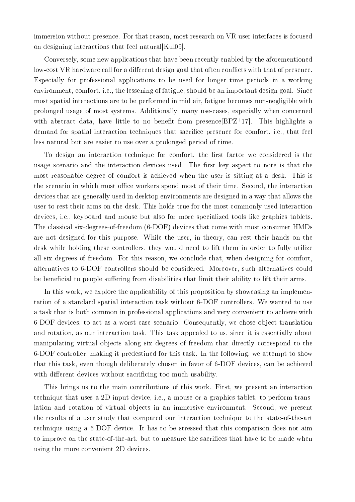immersion without presence. For that reason, most research on VR user interfaces is focused on designing interactions that feel natural Kul09.

Conversely, some new applications that have been recently enabled by the aforementioned low-cost VR hardware call for a different design goal that often conflicts with that of presence. Especially for professional applications to be used for longer time periods in a working environment, comfort, i.e., the lessening of fatigue, should be an important design goal. Since most spatial interactions are to be performed in mid air, fatigue becomes non-negligible with prolonged usage of most systems. Additionally, many use-cases, especially when concerned with abstract data, have little to no benefit from presence  $[BPZ^+17]$  $[BPZ^+17]$ . This highlights a demand for spatial interaction techniques that sacrifice presence for comfort, i.e., that feel less natural but are easier to use over a prolonged period of time.

To design an interaction technique for comfort, the first factor we considered is the usage scenario and the interaction devices used. The first key aspect to note is that the most reasonable degree of comfort is achieved when the user is sitting at a desk. This is the scenario in which most office workers spend most of their time. Second, the interaction devices that are generally used in desktop environments are designed in a way that allows the user to rest their arms on the desk. This holds true for the most commonly used interaction devices, i.e., keyboard and mouse but also for more specialized tools like graphics tablets. The classical six-degrees-of-freedom (6-DOF) devices that come with most consumer HMDs are not designed for this purpose. While the user, in theory, can rest their hands on the desk while holding these controllers, they would need to lift them in order to fully utilize all six degrees of freedom. For this reason, we conclude that, when designing for comfort, alternatives to 6-DOF controllers should be considered. Moreover, such alternatives could be beneficial to people suffering from disabilities that limit their ability to lift their arms.

In this work, we explore the applicability of this proposition by showcasing an implementation of a standard spatial interaction task without 6-DOF controllers. We wanted to use a task that is both common in professional applications and very convenient to achieve with 6-DOF devices, to act as a worst case scenario. Consequently, we chose object translation and rotation, as our interaction task. This task appealed to us, since it is essentially about manipulating virtual objects along six degrees of freedom that directly correspond to the 6-DOF controller, making it predestined for this task. In the following, we attempt to show that this task, even though deliberately chosen in favor of 6-DOF devices, can be achieved with different devices without sacrificing too much usability.

This brings us to the main contributions of this work. First, we present an interaction technique that uses a 2D input device, i.e., a mouse or a graphics tablet, to perform translation and rotation of virtual objects in an immersive environment. Second, we present the results of a user study that compared our interaction technique to the state-of-the-art technique using a 6-DOF device. It has to be stressed that this comparison does not aim to improve on the state-of-the-art, but to measure the sacrifices that have to be made when using the more convenient 2D devices.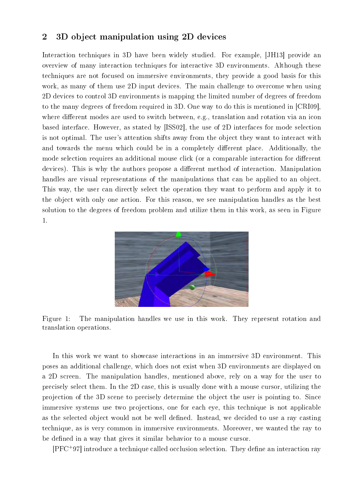# 2 3D object manipulation using 2D devices

Interaction techniques in 3D have been widely studied. For example, [\[JH13\]](#page-8-2) provide an overview of many interaction techniques for interactive 3D environments. Although these techniques are not focused on immersive environments, they provide a good basis for this work, as many of them use 2D input devices. The main challenge to overcome when using 2D devices to control 3D environments is mapping the limited number of degrees of freedom to the many degrees of freedom required in 3D. One way to do this is mentioned in [\[CRI09\]](#page-8-3), where different modes are used to switch between, e.g., translation and rotation via an icon based interface. However, as stated by [\[ISS02\]](#page-8-4), the use of 2D interfaces for mode selection is not optimal. The user's attention shifts away from the object they want to interact with and towards the menu which could be in a completely different place. Additionally, the mode selection requires an additional mouse click (or a comparable interaction for different devices). This is why the authors propose a different method of interaction. Manipulation handles are visual representations of the manipulations that can be applied to an object. This way, the user can directly select the operation they want to perform and apply it to the object with only one action. For this reason, we see manipulation handles as the best solution to the degrees of freedom problem and utilize them in this work, as seen in Figure [1.](#page-2-0)



Figure 1: The manipulation handles we use in this work. They represent rotation and translation operations.

<span id="page-2-0"></span>In this work we want to showcase interactions in an immersive 3D environment. This poses an additional challenge, which does not exist when 3D environments are displayed on a 2D screen. The manipulation handles, mentioned above, rely on a way for the user to precisely select them. In the 2D case, this is usually done with a mouse cursor, utilizing the projection of the 3D scene to precisely determine the object the user is pointing to. Since immersive systems use two projections, one for each eye, this technique is not applicable as the selected object would not be well dened. Instead, we decided to use a ray casting technique, as is very common in immersive environments. Moreover, we wanted the ray to be defined in a way that gives it similar behavior to a mouse cursor.

 $[{\rm PFC^+97}]$  introduce a technique called occlusion selection. They define an interaction ray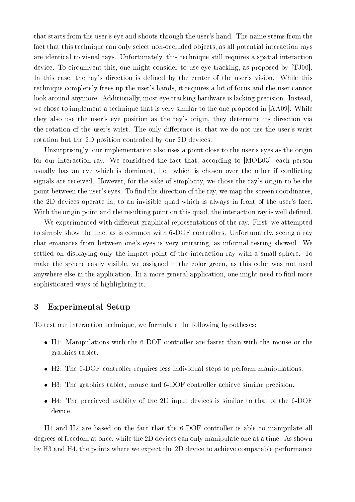that starts from the user's eye and shoots through the user's hand. The name stems from the fact that this technique can only select non-occluded objects, as all potential interaction rays are identical to visual rays. Unfortunately, this technique still requires a spatial interaction device. To circumvent this, one might consider to use eye tracking, as proposed by [\[TJ00\]](#page-8-6). In this case, the ray's direction is defined by the center of the user's vision. While this technique completely frees up the user's hands, it requires a lot of focus and the user cannot look around anymore. Additionally, most eye tracking hardware is lacking precision. Instead, we chose to implement a technique that is very similar to the one proposed in [\[AA09\]](#page-8-7). While they also use the user's eye position as the ray's origin, they determine its direction via the rotation of the user's wrist. The only difference is, that we do not use the user's wrist rotation but the 2D position controlled by our 2D devices.

Unsurprisingly, our implementation also uses a point close to the user's eyes as the origin for our interaction ray. We considered the fact that, according to [\[MOB03\]](#page-8-8), each person usually has an eye which is dominant, i.e., which is chosen over the other if conflicting signals are received. However, for the sake of simplicity, we chose the ray's origin to be the point between the user's eyes. To find the direction of the ray, we map the screen coordinates, the 2D devices operate in, to an invisible quad which is always in front of the user's face. With the origin point and the resulting point on this quad, the interaction ray is well defined.

We experimented with different graphical representations of the ray. First, we attempted to simply show the line, as is common with 6-DOF controllers. Unfortunately, seeing a ray that emanates from between one's eyes is very irritating, as informal testing showed. We settled on displaying only the impact point of the interaction ray with a small sphere. To make the sphere easily visible, we assigned it the color green, as this color was not used anywhere else in the application. In a more general application, one might need to find more sophisticated ways of highlighting it.

#### 3 Experimental Setup

To test our interaction technique, we formulate the following hypotheses:

- H1: Manipulations with the 6-DOF controller are faster than with the mouse or the graphics tablet.
- H2: The 6-DOF controller requires less individual steps to perform manipulations.
- H3: The graphics tablet, mouse and 6-DOF controller achieve similar precision.
- H4: The percieved usablity of the 2D input devices is similar to that of the 6-DOF device.

H1 and H2 are based on the fact that the 6-DOF controller is able to manipulate all degrees of freedom at once, while the 2D devices can only manipulate one at a time. As shown by H3 and H4, the points where we expect the 2D device to achieve comparable performance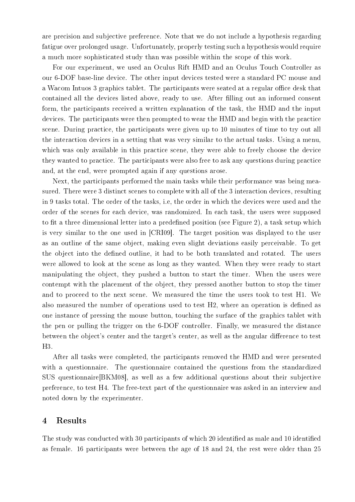are precision and subjective preference. Note that we do not include a hypothesis regarding fatigue over prolonged usage. Unfortunately, properly testing such a hypothesis would require a much more sophisticated study than was possible within the scope of this work.

For our experiment, we used an Oculus Rift HMD and an Oculus Touch Controller as our 6-DOF base-line device. The other input devices tested were a standard PC mouse and a Wacom Intuos 3 graphics tablet. The participants were seated at a regular office desk that contained all the devices listed above, ready to use. After lling out an informed consent form, the participants received a written explanation of the task, the HMD and the input devices. The participants were then prompted to wear the HMD and begin with the practice scene. During practice, the participants were given up to 10 minutes of time to try out all the interaction devices in a setting that was very similar to the actual tasks. Using a menu, which was only available in this practice scene, they were able to freely choose the device they wanted to practice. The participants were also free to ask any questions during practice and, at the end, were prompted again if any questions arose.

Next, the participants performed the main tasks while their performance was being measured. There were 3 distinct scenes to complete with all of the 3 interaction devices, resulting in 9 tasks total. The order of the tasks, i.e, the order in which the devices were used and the order of the scenes for each device, was randomized. In each task, the users were supposed to fit a three dimensional letter into a predefined position (see Figure [2\)](#page-5-0), a task setup which is very similar to the one used in [\[CRI09\]](#page-8-3). The target position was displayed to the user as an outline of the same object, making even slight deviations easily perceivable. To get the object into the defined outline, it had to be both translated and rotated. The users were allowed to look at the scene as long as they wanted. When they were ready to start manipulating the object, they pushed a button to start the timer. When the users were contempt with the placement of the object, they pressed another button to stop the timer and to proceed to the next scene. We measured the time the users took to test H1. We also measured the number of operations used to test  $H2$ , where an operation is defined as one instance of pressing the mouse button, touching the surface of the graphics tablet with the pen or pulling the trigger on the 6-DOF controller. Finally, we measured the distance between the object's center and the target's center, as well as the angular difference to test H3.

After all tasks were completed, the participants removed the HMD and were presented with a questionnaire. The questionnaire contained the questions from the standardized SUS questionnaire[\[BKM08\]](#page-8-9), as well as a few additional questions about their subjective preference, to test H4. The free-text part of the questionnaire was asked in an interview and noted down by the experimenter.

#### 4 Results

The study was conducted with 30 participants of which 20 identified as male and 10 identified as female. 16 participants were between the age of 18 and 24, the rest were older than 25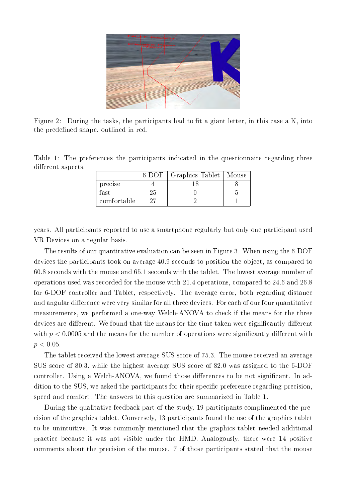

Figure 2: During the tasks, the participants had to fit a giant letter, in this case a K, into the predefined shape, outlined in red.

<span id="page-5-1"></span><span id="page-5-0"></span>Table 1: The preferences the participants indicated in the questionnaire regarding three different aspects.

|             | $6-DOF$ | Graphics Tablet | Mouse |
|-------------|---------|-----------------|-------|
| precise     |         |                 |       |
| fast        | 25      |                 |       |
| comfortable | 27      |                 |       |

years. All participants reported to use a smartphone regularly but only one participant used VR Devices on a regular basis.

The results of our quantitative evaluation can be seen in Figure [3.](#page-9-0) When using the 6-DOF devices the participants took on average 40.9 seconds to position the object, as compared to 60.8 seconds with the mouse and 65.1 seconds with the tablet. The lowest average number of operations used was recorded for the mouse with 21.4 operations, compared to 24.6 and 26.8 for 6-DOF controller and Tablet, respectively. The average error, both regarding distance and angular difference were very similar for all three devices. For each of our four quantitative measurements, we performed a one-way Welch-ANOVA to check if the means for the three devices are different. We found that the means for the time taken were significantly different with  $p < 0.0005$  and the means for the number of operations were significantly different with  $p < 0.05$ .

The tablet received the lowest average SUS score of 75.3. The mouse received an average SUS score of 80.3, while the highest average SUS score of 82.0 was assigned to the 6-DOF controller. Using a Welch-ANOVA, we found those differences to be not significant. In addition to the SUS, we asked the participants for their specific preference regarding precision, speed and comfort. The answers to this question are summarized in Table [1.](#page-5-1)

During the qualitative feedback part of the study, 19 participants complimented the precision of the graphics tablet. Conversely, 13 participants found the use of the graphics tablet to be unintuitive. It was commonly mentioned that the graphics tablet needed additional practice because it was not visible under the HMD. Analogously, there were 14 positive comments about the precision of the mouse. 7 of those participants stated that the mouse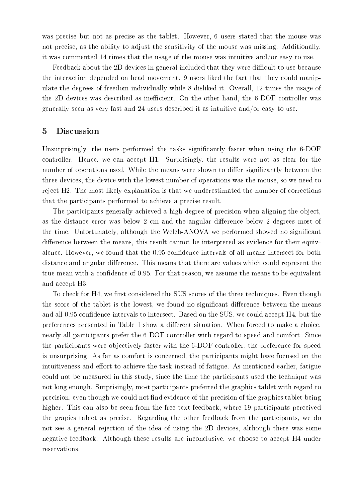was precise but not as precise as the tablet. However, 6 users stated that the mouse was not precise, as the ability to adjust the sensitivity of the mouse was missing. Additionally, it was commented 14 times that the usage of the mouse was intuitive and/or easy to use.

Feedback about the 2D devices in general included that they were difficult to use because the interaction depended on head movement. 9 users liked the fact that they could manipulate the degrees of freedom individually while 8 disliked it. Overall, 12 times the usage of the 2D devices was described as inefficient. On the other hand, the 6-DOF controller was generally seen as very fast and 24 users described it as intuitive and/or easy to use.

#### 5 Discussion

Unsurprisingly, the users performed the tasks signicantly faster when using the 6-DOF controller. Hence, we can accept H1. Surprisingly, the results were not as clear for the number of operations used. While the means were shown to differ significantly between the three devices, the device with the lowest number of operations was the mouse, so we need to reject H2. The most likely explanation is that we underestimated the number of corrections that the participants performed to achieve a precise result.

The participants generally achieved a high degree of precision when aligning the object, as the distance error was below 2 cm and the angular difference below 2 degrees most of the time. Unfortunately, although the Welch-ANOVA we performed showed no signicant difference between the means, this result cannot be interpreted as evidence for their equivalence. However, we found that the 0.95 confidence intervals of all means intersect for both distance and angular difference. This means that there are values which could represent the true mean with a confidence of 0.95. For that reason, we assume the means to be equivalent and accept H3.

To check for H4, we first considered the SUS scores of the three techniques. Even though the score of the tablet is the lowest, we found no significant difference between the means and all 0.95 confidence intervals to intersect. Based on the SUS, we could accept H4, but the preferences presented in Table [1](#page-5-1) show a different situation. When forced to make a choice, nearly all participants prefer the 6-DOF controller with regard to speed and comfort. Since the participants were objectively faster with the 6-DOF controller, the preference for speed is unsurprising. As far as comfort is concerned, the participants might have focused on the intuitiveness and effort to achieve the task instead of fatigue. As mentioned earlier, fatigue could not be measured in this study, since the time the participants used the technique was not long enough. Surprisingly, most participants preferred the graphics tablet with regard to precision, even though we could not find evidence of the precision of the graphics tablet being higher. This can also be seen from the free text feedback, where 19 participants perceived the grapics tablet as precise. Regarding the other feedback from the participants, we do not see a general rejection of the idea of using the 2D devices, although there was some negative feedback. Although these results are inconclusive, we choose to accept H4 under reservations.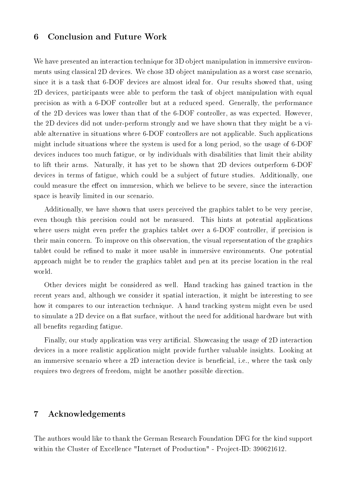# 6 Conclusion and Future Work

We have presented an interaction technique for 3D object manipulation in immersive environments using classical 2D devices. We chose 3D object manipulation as a worst case scenario, since it is a task that 6-DOF devices are almost ideal for. Our results showed that, using 2D devices, participants were able to perform the task of object manipulation with equal precision as with a 6-DOF controller but at a reduced speed. Generally, the performance of the 2D devices was lower than that of the 6-DOF controller, as was expected. However, the 2D devices did not under-perform strongly and we have shown that they might be a viable alternative in situations where 6-DOF controllers are not applicable. Such applications might include situations where the system is used for a long period, so the usage of 6-DOF devices induces too much fatigue, or by individuals with disabilities that limit their ability to lift their arms. Naturally, it has yet to be shown that 2D devices outperform 6-DOF devices in terms of fatigue, which could be a subject of future studies. Additionally, one could measure the effect on immersion, which we believe to be severe, since the interaction space is heavily limited in our scenario.

Additionally, we have shown that users perceived the graphics tablet to be very precise, even though this precision could not be measured. This hints at potential applications where users might even prefer the graphics tablet over a 6-DOF controller, if precision is their main concern. To improve on this observation, the visual representation of the graphics tablet could be refined to make it more usable in immersive environments. One potential approach might be to render the graphics tablet and pen at its precise location in the real world.

Other devices might be considered as well. Hand tracking has gained traction in the recent years and, although we consider it spatial interaction, it might be interesting to see how it compares to our interaction technique. A hand tracking system might even be used to simulate a 2D device on a flat surface, without the need for additional hardware but with all benefits regarding fatigue.

Finally, our study application was very artificial. Showcasing the usage of 2D interaction devices in a more realistic application might provide further valuable insights. Looking at an immersive scenario where a 2D interaction device is beneficial, i.e., where the task only requires two degrees of freedom, might be another possible direction.

#### 7 Acknowledgements

The authors would like to thank the German Research Foundation DFG for the kind support within the Cluster of Excellence "Internet of Production" - Project-ID: 390621612.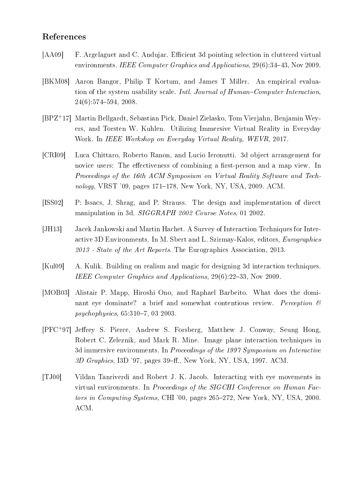## References

- <span id="page-8-7"></span>[AA09] F. Argelaguet and C. Andujar. Efficient 3d pointing selection in cluttered virtual environments. IEEE Computer Graphics and Applications, 29(6):34–43, Nov 2009.
- <span id="page-8-9"></span>[BKM08] Aaron Bangor, Philip T Kortum, and James T Miller. An empirical evaluation of the system usability scale. *Intl. Journal of Human–Computer Interaction*, 24(6):574594, 2008.
- <span id="page-8-1"></span>[BPZ<sup>+</sup>17] Martin Bellgardt, Sebastian Pick, Daniel Zielasko, Tom Vierjahn, Benjamin Weyers, and Torsten W. Kuhlen. Utilizing Immersive Virtual Reality in Everyday Work. In IEEE Workshop on Everyday Virtual Reality, WEVR, 2017.
- <span id="page-8-3"></span>[CRI09] Luca Chittaro, Roberto Ranon, and Lucio Ieronutti. 3d object arrangement for novice users: The effectiveness of combining a first-person and a map view. In Proceedings of the 16th ACM Symposium on Virtual Reality Software and Technology, VRST '09, pages  $171-178$ , New York, NY, USA, 2009. ACM.
- <span id="page-8-4"></span>[ISS02] P: Issacs, J. Shrag, and P. Strauss. The design and implementation of direct manipulation in 3d. SIGGRAPH 2002 Course Notes, 01 2002.
- <span id="page-8-2"></span>[JH13] Jacek Jankowski and Martin Hachet. A Survey of Interaction Techniques for Interactive 3D Environments. In M. Sbert and L. Szirmay-Kalos, editors, Eurographics  $2013$  - State of the Art Reports. The Eurographics Association, 2013.
- <span id="page-8-0"></span>[Kul09] A. Kulik. Building on realism and magic for designing 3d interaction techniques. IEEE Computer Graphics and Applications, 29(6):22-33, Nov 2009.
- <span id="page-8-8"></span>[MOB03] Alistair P. Mapp, Hiroshi Ono, and Raphael Barbeito. What does the dominant eye dominate? a brief and somewhat contentious review. Perception &  $p<sub>st</sub>$  psychophysics, 65:310-7, 03 2003.
- <span id="page-8-5"></span>[PFC<sup>+</sup>97] Jerey S. Pierce, Andrew S. Forsberg, Matthew J. Conway, Seung Hong, Robert C. Zeleznik, and Mark R. Mine. Image plane interaction techniques in 3d immersive environments. In Proceedings of the 1997 Symposium on Interactive  $3D$  Graphics, I3D '97, pages 39–ff., New York, NY, USA, 1997. ACM.
- <span id="page-8-6"></span>[TJ00] Vildan Tanriverdi and Robert J. K. Jacob. Interacting with eye movements in virtual environments. In Proceedings of the SIGCHI Conference on Human Factors in Computing Systems, CHI '00, pages 265–272, New York, NY, USA, 2000. ACM.